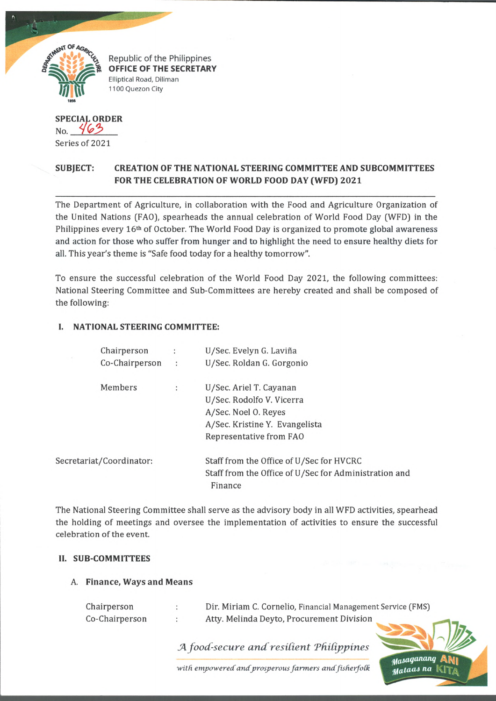

Republic of the Philippines OFFICE OF THE SECRETARY Elliptical Road, Diliman 1100 Quezon City

# **SPECIAL ORDER No.** 463

Series of 2021

## **SUBJECT: CREATION OF THE NATIONAL STEERING COMMITTEE AND SUBCOMMITTEES FOR THE CELEBRATION OF WORLD FOOD DAY (WFD) 2021**

The Department of Agriculture, in collaboration with the Food and Agriculture Organization of the United Nations (FAO), spearheads the annual celebration of World Food Day (WFD] in the Philippines every 16th of October. The World Food Day is organized to promote global awareness and action for those who suffer from hunger and to highlight the need to ensure healthy diets for all. This year's theme is "Safe food today for a healthy tomorrow".

To ensure the successful celebration of the World Food Day 2021, the following committees: National Steering Committee and Sub-Committees are hereby created and shall be composed of the following:

## **I. NATIONAL STEERING COMMITTEE:**

| Chairperson              | $\ddot{\phantom{1}}$ | U/Sec. Evelyn G. Laviña                               |
|--------------------------|----------------------|-------------------------------------------------------|
| Co-Chairperson           | $\sim$ 100 $\pm$     | U/Sec. Roldan G. Gorgonio                             |
| Members                  | ÷                    | U/Sec. Ariel T. Cayanan                               |
|                          |                      | U/Sec. Rodolfo V. Vicerra                             |
|                          |                      | A/Sec. Noel O. Reyes                                  |
|                          |                      | A/Sec. Kristine Y. Evangelista                        |
|                          |                      | Representative from FAO                               |
| Secretariat/Coordinator: |                      | Staff from the Office of U/Sec for HVCRC              |
|                          |                      | Staff from the Office of U/Sec for Administration and |
|                          |                      | Finance                                               |

The National Steering Committee shall serve as the advisory body in all WFD activities, spearhead the holding of meetings and oversee the implementation of activities to ensure the successful celebration of the event.

#### **II. SUB-COMMITTEES**

#### A. **Finance, Ways and Means**

| Chairperson    | Dir. Miriam C. Cornelio, Financial Management Service (FMS) |  |
|----------------|-------------------------------------------------------------|--|
| Co-Chairperson | Atty. Melinda Deyto, Procurement Division                   |  |

*JA food-secure a n d r e sid e n t Thidppines*



with empowered and prosperous farmers and fisherfolk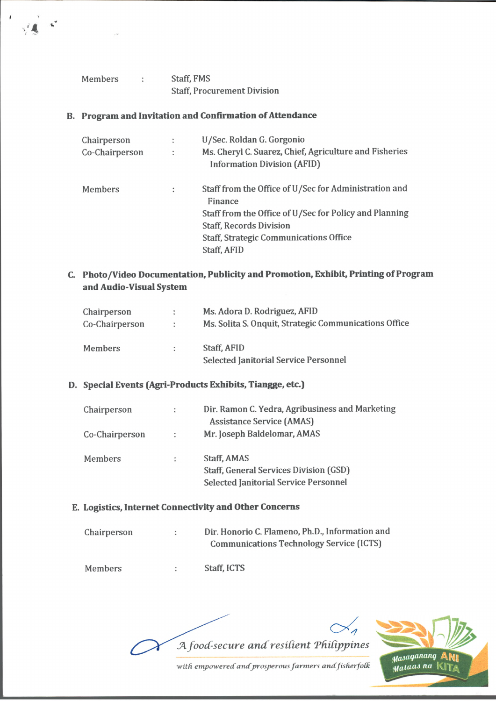| Members | Staff, FMS                         |
|---------|------------------------------------|
|         | <b>Staff, Procurement Division</b> |

## **B. Program and Invitation and Confirmation of Attendance**

| Chairperson         | ÷              | U/Sec. Roldan G. Gorgonio                                                                                                                                    |
|---------------------|----------------|--------------------------------------------------------------------------------------------------------------------------------------------------------------|
| Co-Chairperson      | $\ddot{\cdot}$ | Ms. Cheryl C. Suarez, Chief, Agriculture and Fisheries<br><b>Information Division (AFID)</b>                                                                 |
| <b>Members</b><br>÷ |                | Staff from the Office of U/Sec for Administration and<br>Finance<br>Staff from the Office of U/Sec for Policy and Planning<br><b>Staff, Records Division</b> |
|                     |                | <b>Staff, Strategic Communications Office</b><br>Staff, AFID                                                                                                 |

## **Photo/Video Documentation, Publicity and Promotion, Exhibit, Printing of Program and Audio-Visual System**

| Chairperson    | $\sim$        | Ms. Adora D. Rodriguez, AFID                          |
|----------------|---------------|-------------------------------------------------------|
| Co-Chairperson | $\mathcal{L}$ | Ms. Solita S. Onquit, Strategic Communications Office |
| Members        |               | Staff, AFID                                           |
|                |               | <b>Selected Janitorial Service Personnel</b>          |

## **Special Events (Agri-Products Exhibits, Tiangge, etc.)**

| Chairperson    | ÷                    | Dir. Ramon C. Yedra, Agribusiness and Marketing |
|----------------|----------------------|-------------------------------------------------|
|                |                      | <b>Assistance Service (AMAS)</b>                |
| Co-Chairperson | $\ddot{\phantom{a}}$ | Mr. Joseph Baldelomar, AMAS                     |
| <b>Members</b> | ÷                    | Staff, AMAS                                     |
|                |                      | <b>Staff, General Services Division (GSD)</b>   |
|                |                      | <b>Selected Janitorial Service Personnel</b>    |

#### **Logistics, Internet Connectivity and Other Concerns**

| Chairperson | Dir. Honorio C. Flameno, Ph.D., Information and |
|-------------|-------------------------------------------------|
|             | <b>Communications Technology Service (ICTS)</b> |
| Members     | Staff. ICTS                                     |

*fA. food-secure a n d resident Thdipjnnes*



with empowered and prosperous farmers and fisherfolk